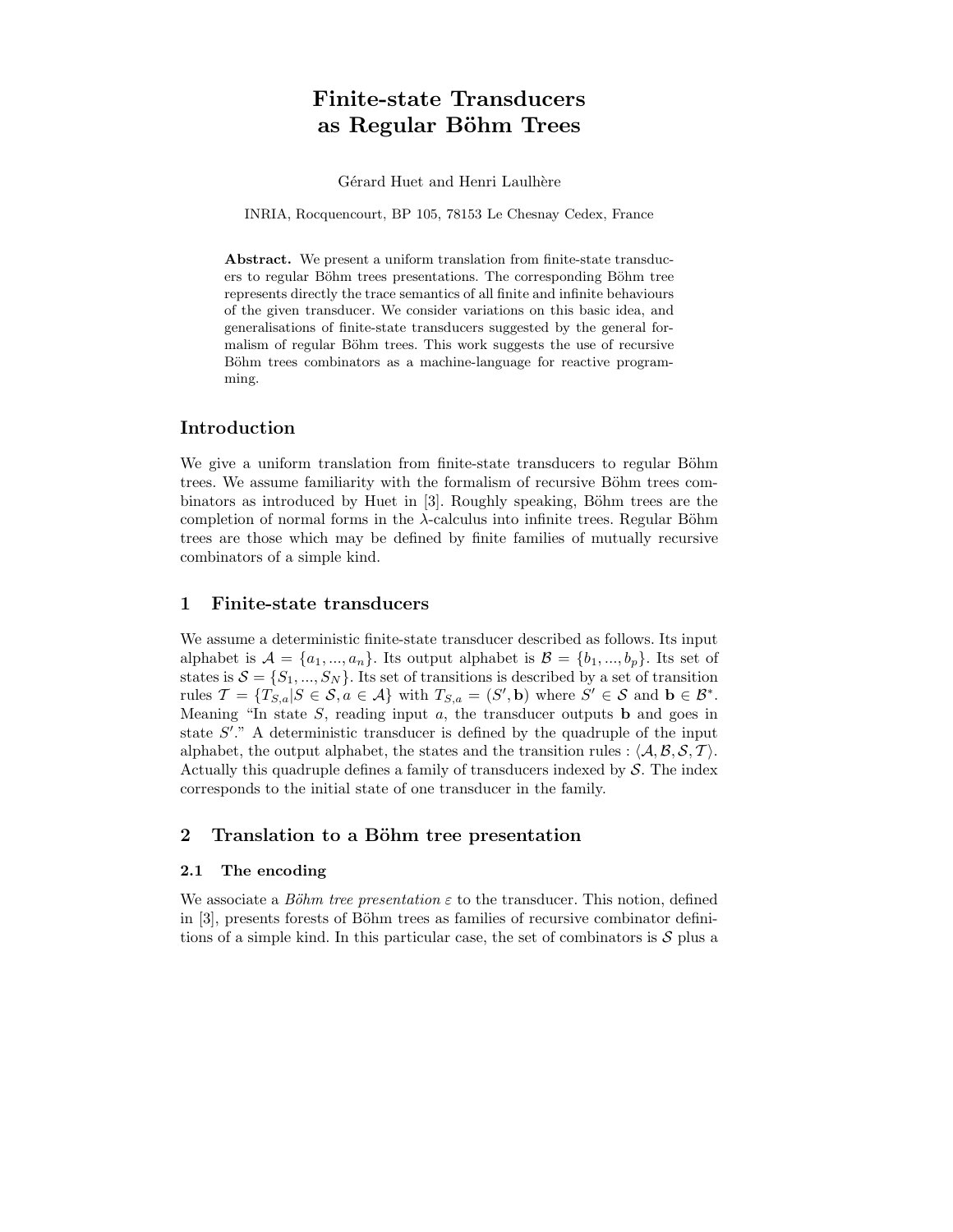# Finite-state Transducers as Regular Böhm Trees

Gérard Huet and Henri Laulhère

INRIA, Rocquencourt, BP 105, 78153 Le Chesnay Cedex, France

Abstract. We present a uniform translation from finite-state transducers to regular Böhm trees presentations. The corresponding Böhm tree represents directly the trace semantics of all finite and infinite behaviours of the given transducer. We consider variations on this basic idea, and generalisations of finite-state transducers suggested by the general formalism of regular Böhm trees. This work suggests the use of recursive Böhm trees combinators as a machine-language for reactive programming.

## Introduction

We give a uniform translation from finite-state transducers to regular Böhm trees. We assume familiarity with the formalism of recursive Böhm trees combinators as introduced by Huet in [3]. Roughly speaking, Böhm trees are the completion of normal forms in the  $\lambda$ -calculus into infinite trees. Regular Böhm trees are those which may be defined by finite families of mutually recursive combinators of a simple kind.

## 1 Finite-state transducers

We assume a deterministic finite-state transducer described as follows. Its input alphabet is  $\mathcal{A} = \{a_1, ..., a_n\}$ . Its output alphabet is  $\mathcal{B} = \{b_1, ..., b_p\}$ . Its set of states is  $S = \{S_1, ..., S_N\}$ . Its set of transitions is described by a set of transition rules  $\mathcal{T} = \{T_{S,a} | S \in \mathcal{S}, a \in \mathcal{A}\}\$  with  $T_{S,a} = (S', \mathbf{b})$  where  $S' \in \mathcal{S}$  and  $\mathbf{b} \in \mathcal{B}^*$ . Meaning "In state  $S$ , reading input  $a$ , the transducer outputs **b** and goes in state  $S'$ ." A deterministic transducer is defined by the quadruple of the input alphabet, the output alphabet, the states and the transition rules :  $\langle A, B, S, T \rangle$ . Actually this quadruple defines a family of transducers indexed by  $S$ . The index corresponds to the initial state of one transducer in the family.

## 2 Translation to a Böhm tree presentation

## 2.1 The encoding

We associate a Böhm tree presentation  $\varepsilon$  to the transducer. This notion, defined in  $|3|$ , presents forests of Böhm trees as families of recursive combinator definitions of a simple kind. In this particular case, the set of combinators is  $S$  plus a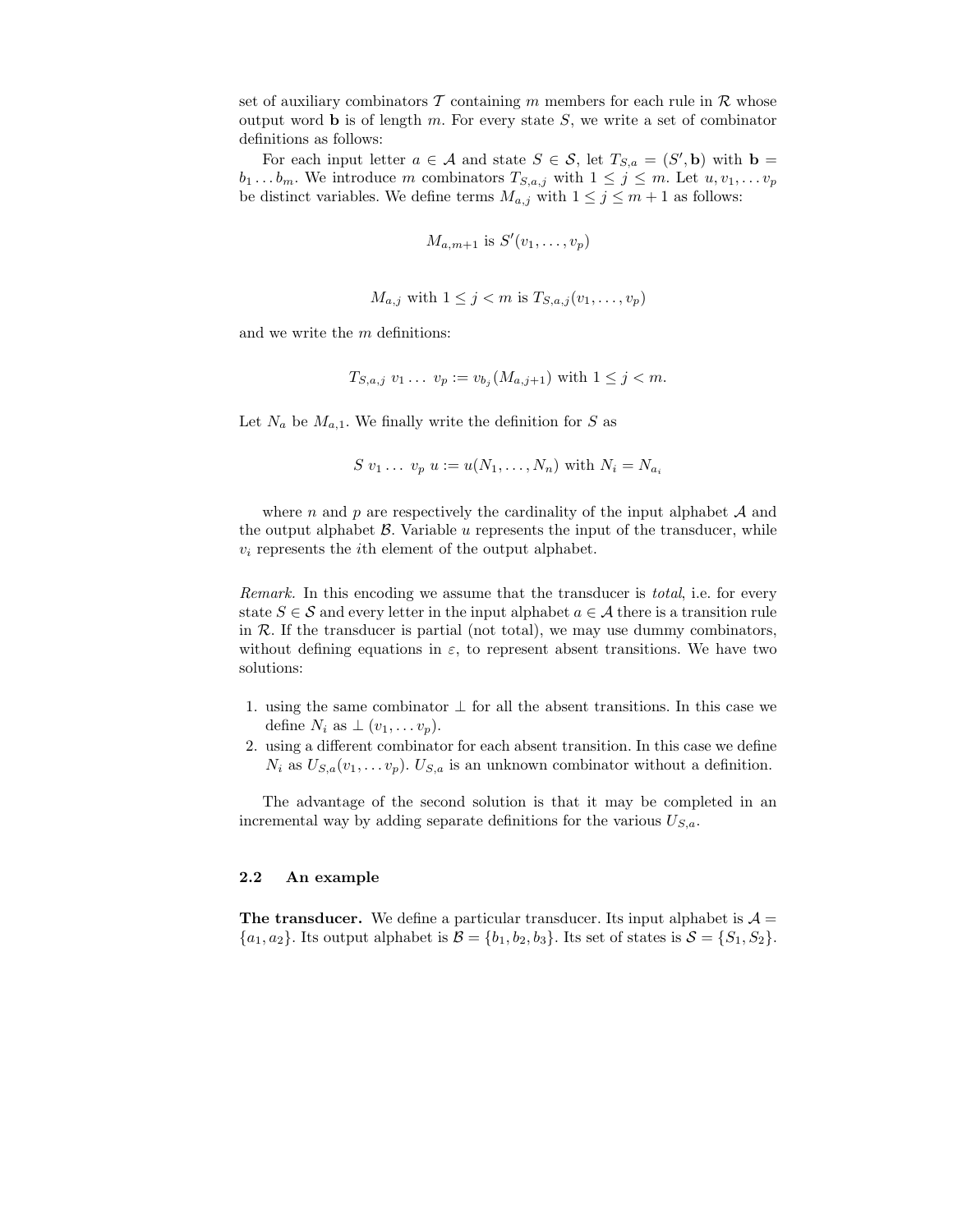set of auxiliary combinators  $\mathcal T$  containing m members for each rule in  $\mathcal R$  whose output word **b** is of length  $m$ . For every state  $S$ , we write a set of combinator definitions as follows:

For each input letter  $a \in \mathcal{A}$  and state  $S \in \mathcal{S}$ , let  $T_{S,a} = (S', \mathbf{b})$  with  $\mathbf{b} =$  $b_1 \ldots b_m$ . We introduce m combinators  $T_{S,a,j}$  with  $1 \leq j \leq m$ . Let  $u, v_1, \ldots v_p$ be distinct variables. We define terms  $M_{a,j}$  with  $1 \leq j \leq m+1$  as follows:

$$
M_{a,m+1} \text{ is } S'(v_1,\ldots,v_p)
$$

$$
M_{a,j} \text{ with } 1 \leq j < m \text{ is } T_{S,a,j}(v_1, \ldots, v_p)
$$

and we write the m definitions:

$$
T_{S,a,j} v_1 \ldots v_p := v_{b_j}(M_{a,j+1})
$$
 with  $1 \leq j < m$ .

Let  $N_a$  be  $M_{a,1}$ . We finally write the definition for S as

$$
S v_1 \ldots v_p u := u(N_1, \ldots, N_n) \text{ with } N_i = N_{a_i}
$$

where n and p are respectively the cardinality of the input alphabet  $A$  and the output alphabet  $\beta$ . Variable  $u$  represents the input of the transducer, while  $v_i$  represents the *i*th element of the output alphabet.

Remark. In this encoding we assume that the transducer is *total*, i.e. for every state  $S \in \mathcal{S}$  and every letter in the input alphabet  $a \in \mathcal{A}$  there is a transition rule in  $R$ . If the transducer is partial (not total), we may use dummy combinators, without defining equations in  $\varepsilon$ , to represent absent transitions. We have two solutions:

- 1. using the same combinator  $\perp$  for all the absent transitions. In this case we define  $N_i$  as  $\perp (v_1, \ldots v_p)$ .
- 2. using a different combinator for each absent transition. In this case we define  $N_i$  as  $U_{S,a}(v_1,\ldots v_p)$ .  $U_{S,a}$  is an unknown combinator without a definition.

The advantage of the second solution is that it may be completed in an incremental way by adding separate definitions for the various  $U_{S,a}$ .

#### 2.2 An example

**The transducer.** We define a particular transducer. Its input alphabet is  $\mathcal{A} =$  ${a_1, a_2}$ . Its output alphabet is  $\mathcal{B} = {b_1, b_2, b_3}$ . Its set of states is  $\mathcal{S} = {S_1, S_2}$ .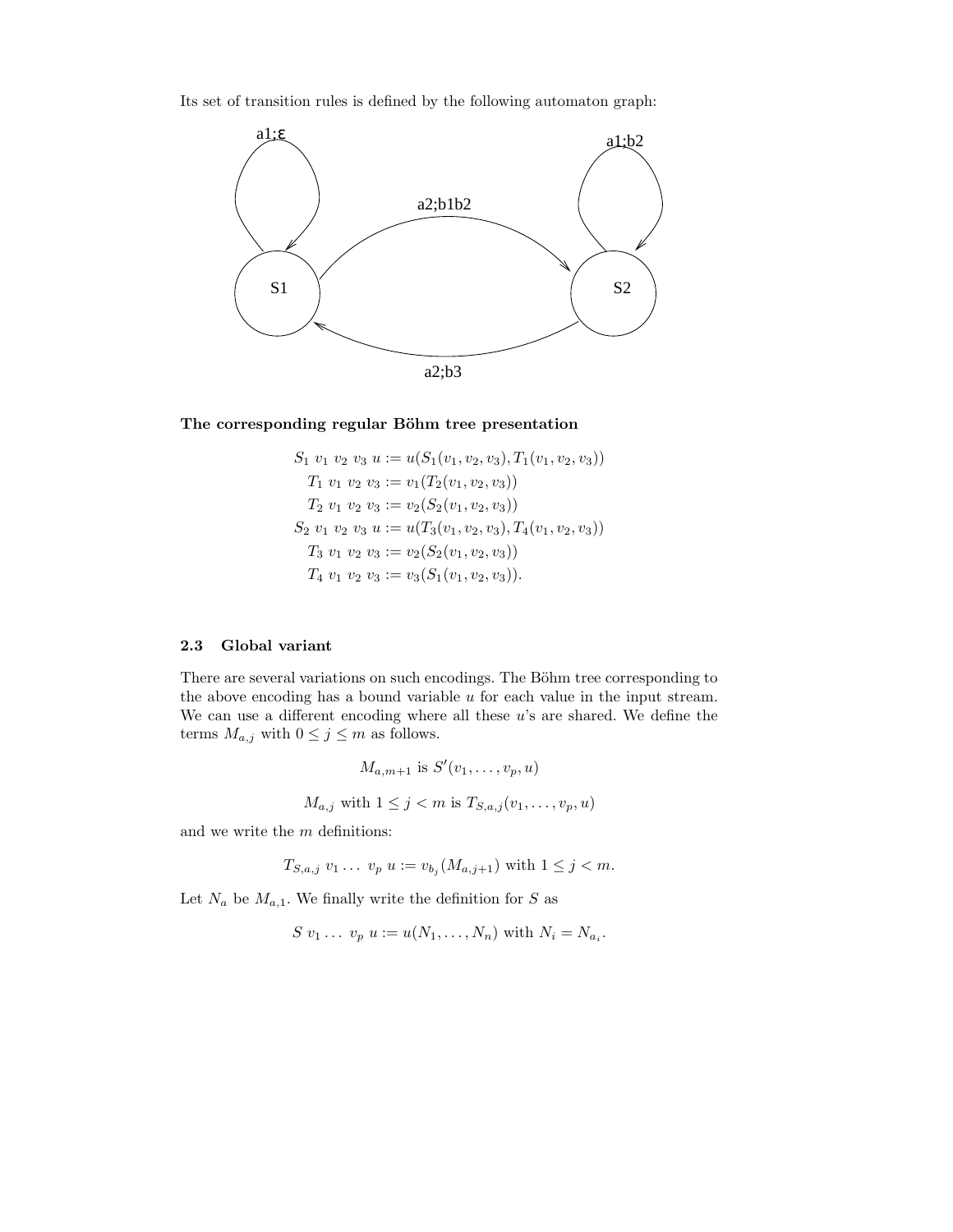Its set of transition rules is defined by the following automaton graph:



#### The corresponding regular Böhm tree presentation

$$
S_1 v_1 v_2 v_3 u := u(S_1(v_1, v_2, v_3), T_1(v_1, v_2, v_3))
$$
  
\n
$$
T_1 v_1 v_2 v_3 := v_1(T_2(v_1, v_2, v_3))
$$
  
\n
$$
T_2 v_1 v_2 v_3 := v_2(S_2(v_1, v_2, v_3))
$$
  
\n
$$
S_2 v_1 v_2 v_3 u := u(T_3(v_1, v_2, v_3), T_4(v_1, v_2, v_3))
$$
  
\n
$$
T_3 v_1 v_2 v_3 := v_2(S_2(v_1, v_2, v_3))
$$
  
\n
$$
T_4 v_1 v_2 v_3 := v_3(S_1(v_1, v_2, v_3)).
$$

#### 2.3 Global variant

There are several variations on such encodings. The Böhm tree corresponding to the above encoding has a bound variable  $u$  for each value in the input stream. We can use a different encoding where all these  $u$ 's are shared. We define the terms  $M_{a,j}$  with  $0 \leq j \leq m$  as follows.

$$
M_{a,m+1} \text{ is } S'(v_1,\ldots,v_p,u)
$$
  

$$
M_{a,j} \text{ with } 1 \le j < m \text{ is } T_{S,a,j}(v_1,\ldots,v_p,u)
$$

and we write the  $m$  definitions:

$$
T_{S,a,j} v_1 \ldots v_p u := v_{b_j}(M_{a,j+1})
$$
 with  $1 \leq j < m$ .

Let  ${\cal N}_a$  be  ${\cal M}_{a,1}.$  We finally write the definition for  $S$  as

$$
S v_1 \ldots v_p u := u(N_1, \ldots, N_n) \text{ with } N_i = N_{a_i}.
$$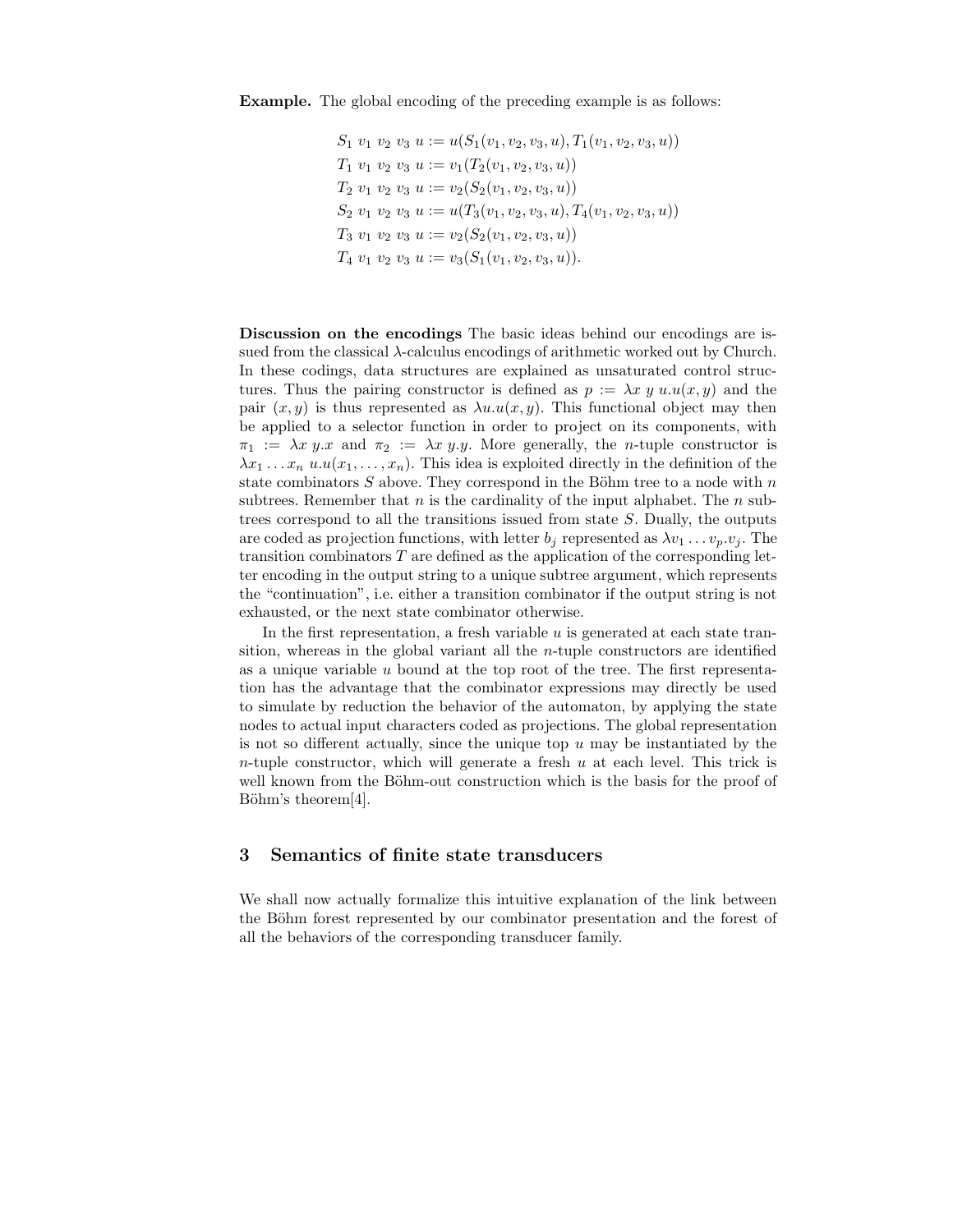$$
S_1 \ v_1 \ v_2 \ v_3 \ u := u(S_1(v_1, v_2, v_3, u), T_1(v_1, v_2, v_3, u))
$$
  
\n
$$
T_1 \ v_1 \ v_2 \ v_3 \ u := v_1(T_2(v_1, v_2, v_3, u))
$$
  
\n
$$
T_2 \ v_1 \ v_2 \ v_3 \ u := v_2(S_2(v_1, v_2, v_3, u))
$$
  
\n
$$
S_2 \ v_1 \ v_2 \ v_3 \ u := u(T_3(v_1, v_2, v_3, u), T_4(v_1, v_2, v_3, u))
$$
  
\n
$$
T_3 \ v_1 \ v_2 \ v_3 \ u := v_2(S_2(v_1, v_2, v_3, u))
$$
  
\n
$$
T_4 \ v_1 \ v_2 \ v_3 \ u := v_3(S_1(v_1, v_2, v_3, u)).
$$

Discussion on the encodings The basic ideas behind our encodings are issued from the classical  $\lambda$ -calculus encodings of arithmetic worked out by Church. In these codings, data structures are explained as unsaturated control structures. Thus the pairing constructor is defined as  $p := \lambda x \, y \, u.u(x, y)$  and the pair  $(x, y)$  is thus represented as  $\lambda u.u(x, y)$ . This functional object may then be applied to a selector function in order to project on its components, with  $\pi_1 := \lambda x \ y.x$  and  $\pi_2 := \lambda x \ y.y$ . More generally, the *n*-tuple constructor is  $\lambda x_1 \ldots x_n$  u.u $(x_1, \ldots, x_n)$ . This idea is exploited directly in the definition of the state combinators  $S$  above. They correspond in the Böhm tree to a node with  $n$ subtrees. Remember that  $n$  is the cardinality of the input alphabet. The  $n$  subtrees correspond to all the transitions issued from state S. Dually, the outputs are coded as projection functions, with letter  $b_j$  represented as  $\lambda v_1 \dots v_p v_j$ . The transition combinators T are defined as the application of the corresponding letter encoding in the output string to a unique subtree argument, which represents the "continuation", i.e. either a transition combinator if the output string is not exhausted, or the next state combinator otherwise.

In the first representation, a fresh variable  $u$  is generated at each state transition, whereas in the global variant all the  $n$ -tuple constructors are identified as a unique variable  $u$  bound at the top root of the tree. The first representation has the advantage that the combinator expressions may directly be used to simulate by reduction the behavior of the automaton, by applying the state nodes to actual input characters coded as projections. The global representation is not so different actually, since the unique top  $u$  may be instantiated by the *n*-tuple constructor, which will generate a fresh  $u$  at each level. This trick is well known from the Böhm-out construction which is the basis for the proof of Böhm's theorem[4].

# 3 Semantics of finite state transducers

We shall now actually formalize this intuitive explanation of the link between the Böhm forest represented by our combinator presentation and the forest of all the behaviors of the corresponding transducer family.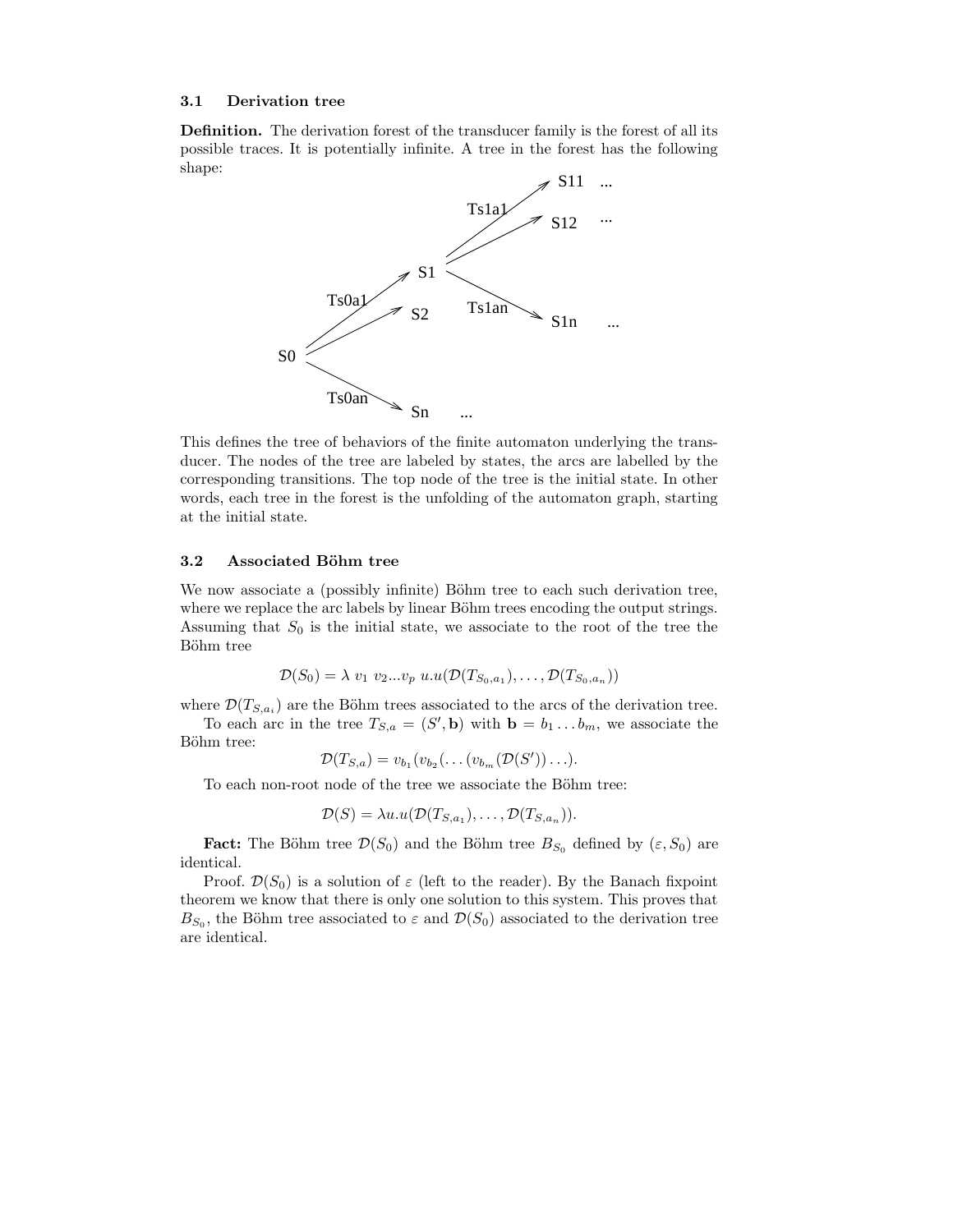#### 3.1 Derivation tree

Definition. The derivation forest of the transducer family is the forest of all its possible traces. It is potentially infinite. A tree in the forest has the following shape:



This defines the tree of behaviors of the finite automaton underlying the transducer. The nodes of the tree are labeled by states, the arcs are labelled by the corresponding transitions. The top node of the tree is the initial state. In other words, each tree in the forest is the unfolding of the automaton graph, starting at the initial state.

#### 3.2 Associated Böhm tree

We now associate a (possibly infinite) Böhm tree to each such derivation tree, where we replace the arc labels by linear Böhm trees encoding the output strings. Assuming that  $S_0$  is the initial state, we associate to the root of the tree the Böhm tree

$$
\mathcal{D}(S_0) = \lambda v_1 v_2 ... v_p u.u(\mathcal{D}(T_{S_0,a_1}), \dots, \mathcal{D}(T_{S_0,a_n}))
$$

where  $\mathcal{D}(T_{S,a_i})$  are the Böhm trees associated to the arcs of the derivation tree. To each arc in the tree  $T_{S,a} = (S', \mathbf{b})$  with  $\mathbf{b} = b_1 \dots b_m$ , we associate the Böhm tree:

$$
\mathcal{D}(T_{S,a})=v_{b_1}(v_{b_2}(\ldots(v_{b_m}(\mathcal{D}(S'))\ldots).
$$

To each non-root node of the tree we associate the Böhm tree:

$$
\mathcal{D}(S) = \lambda u.u(\mathcal{D}(T_{S,a_1}), \ldots, \mathcal{D}(T_{S,a_n})).
$$

**Fact:** The Böhm tree  $\mathcal{D}(S_0)$  and the Böhm tree  $B_{S_0}$  defined by  $(\varepsilon, S_0)$  are identical.

Proof.  $\mathcal{D}(S_0)$  is a solution of  $\varepsilon$  (left to the reader). By the Banach fixpoint theorem we know that there is only one solution to this system. This proves that  $B_{S_0}$ , the Böhm tree associated to  $\varepsilon$  and  $\mathcal{D}(S_0)$  associated to the derivation tree are identical.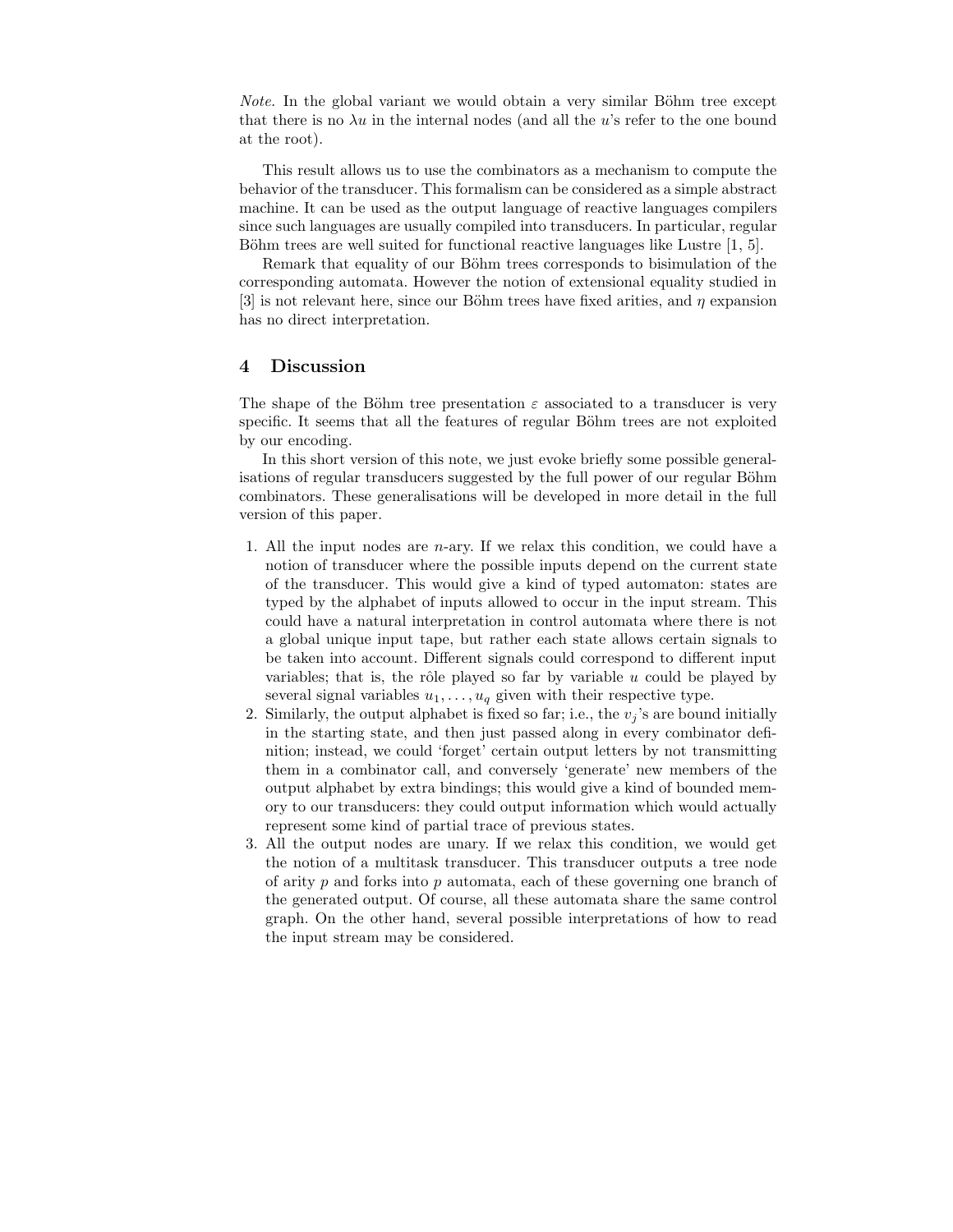*Note.* In the global variant we would obtain a very similar Böhm tree except that there is no  $\lambda u$  in the internal nodes (and all the u's refer to the one bound at the root).

This result allows us to use the combinators as a mechanism to compute the behavior of the transducer. This formalism can be considered as a simple abstract machine. It can be used as the output language of reactive languages compilers since such languages are usually compiled into transducers. In particular, regular Böhm trees are well suited for functional reactive languages like Lustre  $[1, 5]$ .

Remark that equality of our Böhm trees corresponds to bisimulation of the corresponding automata. However the notion of extensional equality studied in [3] is not relevant here, since our Böhm trees have fixed arities, and  $\eta$  expansion has no direct interpretation.

### 4 Discussion

The shape of the Böhm tree presentation  $\varepsilon$  associated to a transducer is very specific. It seems that all the features of regular Böhm trees are not exploited by our encoding.

In this short version of this note, we just evoke briefly some possible generalisations of regular transducers suggested by the full power of our regular Böhm combinators. These generalisations will be developed in more detail in the full version of this paper.

- 1. All the input nodes are n-ary. If we relax this condition, we could have a notion of transducer where the possible inputs depend on the current state of the transducer. This would give a kind of typed automaton: states are typed by the alphabet of inputs allowed to occur in the input stream. This could have a natural interpretation in control automata where there is not a global unique input tape, but rather each state allows certain signals to be taken into account. Different signals could correspond to different input variables; that is, the rôle played so far by variable  $u$  could be played by several signal variables  $u_1, \ldots, u_q$  given with their respective type.
- 2. Similarly, the output alphabet is fixed so far; i.e., the  $v_j$ 's are bound initially in the starting state, and then just passed along in every combinator definition; instead, we could 'forget' certain output letters by not transmitting them in a combinator call, and conversely 'generate' new members of the output alphabet by extra bindings; this would give a kind of bounded memory to our transducers: they could output information which would actually represent some kind of partial trace of previous states.
- 3. All the output nodes are unary. If we relax this condition, we would get the notion of a multitask transducer. This transducer outputs a tree node of arity  $p$  and forks into  $p$  automata, each of these governing one branch of the generated output. Of course, all these automata share the same control graph. On the other hand, several possible interpretations of how to read the input stream may be considered.